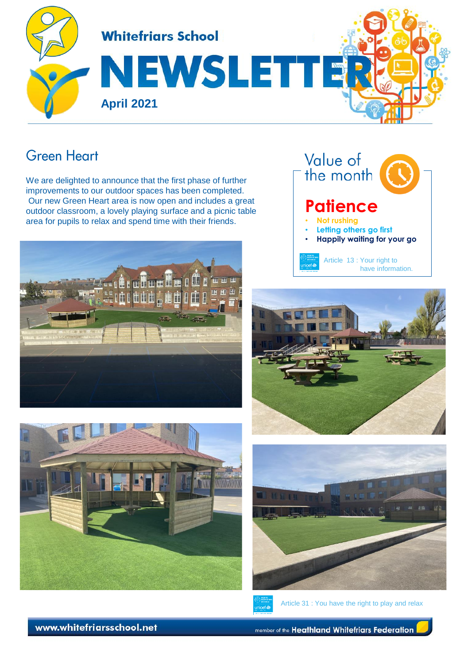

#### **Green Heart**

We are delighted to announce that the first phase of further improvements to our outdoor spaces has been completed. Our new Green Heart area is now open and includes a great outdoor classroom, a lovely playing surface and a picnic table area for pupils to relax and spend time with their friends.













Article 31 : You have the right to play and relax

www.whitefriarsschool.net

member of the Heathland Whitefriars Federation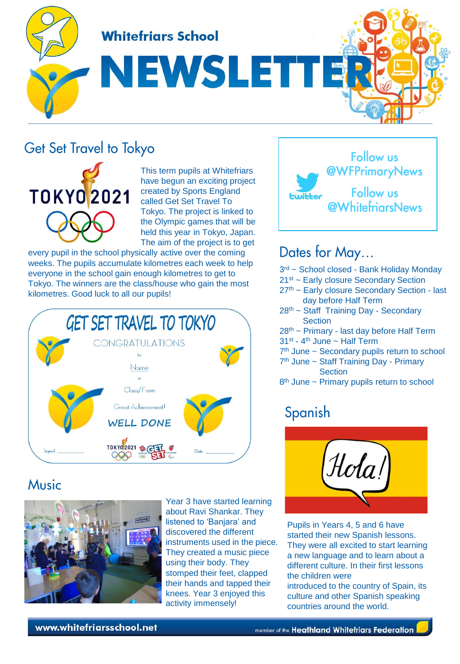**Whitefriars School** 

NEWSLETT

## **Get Set Travel to Tokyo**



This term pupils at Whitefriars have begun an exciting project created by Sports England called Get Set Travel To Tokyo. The project is linked to the Olympic games that will be held this year in Tokyo, Japan. The aim of the project is to get

every pupil in the school physically active over the coming weeks. The pupils accumulate kilometres each week to help everyone in the school gain enough kilometres to get to Tokyo. The winners are the class/house who gain the most kilometres. Good luck to all our pupils!



#### **Music**



Year 3 have started learning about Ravi Shankar. They listened to 'Banjara' and discovered the different instruments used in the piece. They created a music piece using their body. They stomped their feet, clapped their hands and tapped their knees. Year 3 enjoyed this activity immensely!



### Dates for May...

- 3<sup>rd</sup> ~ School closed Bank Holiday Monday
- 21st ~ Early closure Secondary Section
- 27th ~ Early closure Secondary Section last day before Half Term
- 28th ~ Staff Training Day Secondary **Section**
- 28th ~ Primary last day before Half Term
- 31<sup>st</sup> 4<sup>th</sup> June ~ Half Term
- 7<sup>th</sup> June ~ Secondary pupils return to school
- 7<sup>th</sup> June ~ Staff Training Day Primary **Section**
- 8<sup>th</sup> June ~ Primary pupils return to school

### Spanish



Pupils in Years 4, 5 and 6 have started their new Spanish lessons. They were all excited to start learning a new language and to learn about a different culture. In their first lessons the children were

introduced to the country of Spain, its culture and other Spanish speaking countries around the world.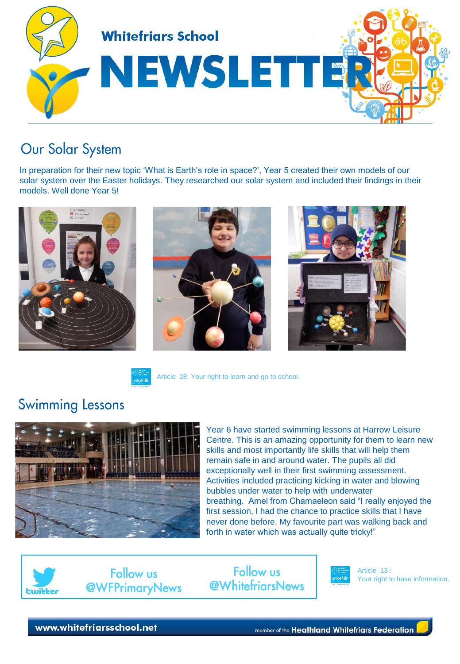

## Our Solar System

In preparation for their new topic 'What is Earth's role in space?', Year 5 created their own models of our solar system over the Easter holidays. They researched our solar system and included their findings in their models. Well done Year 5!





Article 28: Your right to learn and go to school.



Year 6 have started swimming lessons at Harrow Leisure Centre. This is an amazing opportunity for them to learn new skills and most importantly life skills that will help them remain safe in and around water. The pupils all did exceptionally well in their first swimming assessment. Activities included practicing kicking in water and blowing bubbles under water to help with underwater breathing. Amel from Chamaeleon said "I really enjoyed the first session, I had the chance to practice skills that I have never done before. My favourite part was walking back and forth in water which was actually quite tricky!"



**Swimming Lessons** 

**Follow us @WhitefriarsNews** 



Article 13 : Your right to have information.

www.whitefriarsschool.net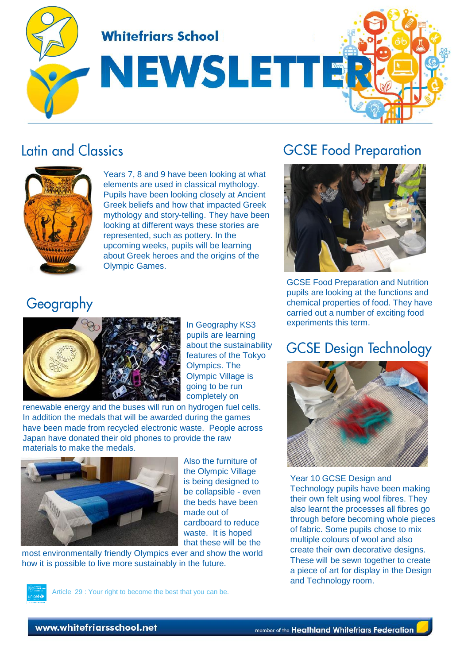**Whitefriars School** 

# NEWSLETTE

## Latin and Classics



Years 7, 8 and 9 have been looking at what elements are used in classical mythology. Pupils have been looking closely at Ancient Greek beliefs and how that impacted Greek mythology and story-telling. They have been looking at different ways these stories are represented, such as pottery. In the upcoming weeks, pupils will be learning about Greek heroes and the origins of the Olympic Games.

# **GCSE Food Preparation**



GCSE Food Preparation and Nutrition pupils are looking at the functions and chemical properties of food. They have carried out a number of exciting food experiments this term.

### **GCSE Design Technology**



Year 10 GCSE Design and Technology pupils have been making their own felt using wool fibres. They also learnt the processes all fibres go through before becoming whole pieces of fabric. Some pupils chose to mix multiple colours of wool and also create their own decorative designs. These will be sewn together to create a piece of art for display in the Design and Technology room.

### Geography



In Geography KS3 pupils are learning about the sustainability features of the Tokyo Olympics. The Olympic Village is going to be run completely on

renewable energy and the buses will run on hydrogen fuel cells. In addition the medals that will be awarded during the games have been made from recycled electronic waste. People across Japan have donated their old phones to provide the raw materials to make the medals.



Also the furniture of the Olympic Village is being designed to be collapsible - even the beds have been made out of cardboard to reduce waste. It is hoped that these will be the

most environmentally friendly Olympics ever and show the world how it is possible to live more sustainably in the future.



Article 29 : Your right to become the best that you can be.